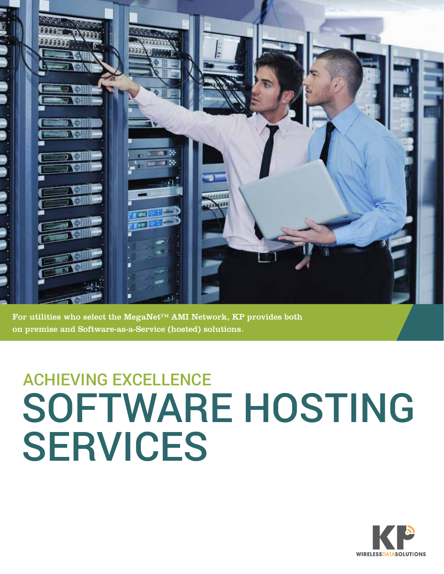

For utilities who select the MegaNet™ AMI Network, KP provides both on premise and Software-as-a-Service (hosted) solutions.

## ACHIEVING EXCELLENCE SOFTWARE HOSTING SERVICES